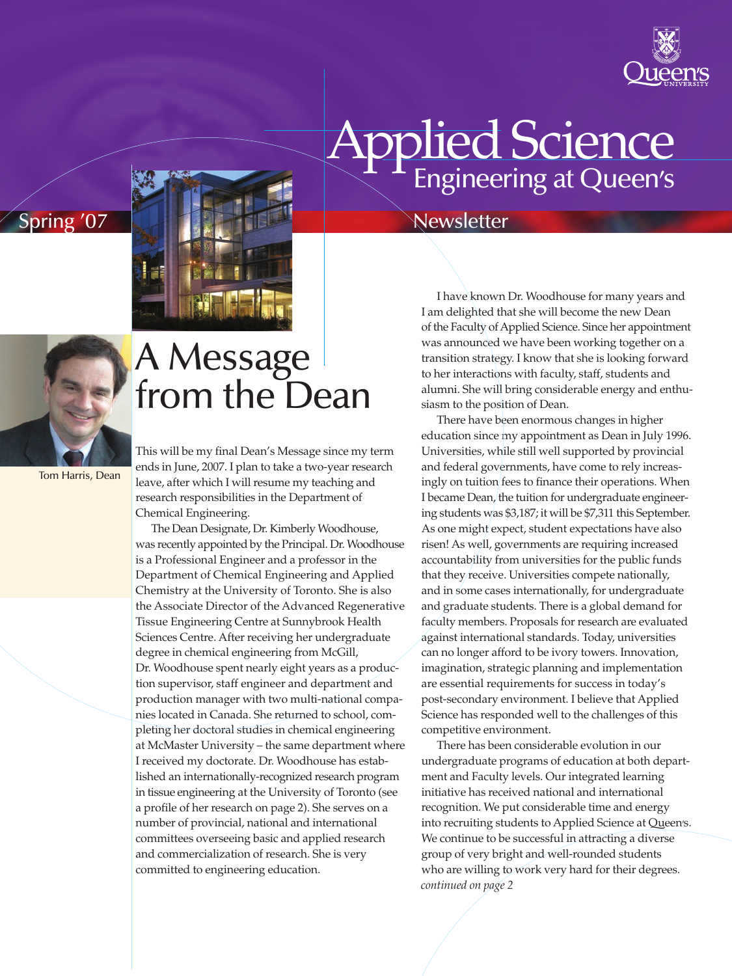

# Engineering at Queen's **Applied Science**

#### Spring '07 Newsletter

I have known Dr. Woodhouse for many years and I am delighted that she will become the new Dean of the Faculty of Applied Science. Since her appointment was announced we have been working together on a transition strategy. I know that she is looking forward to her interactions with faculty, staff, students and alumni. She will bring considerable energy and enthusiasm to the position of Dean.

There have been enormous changes in higher education since my appointment as Dean in July 1996. Universities, while still well supported by provincial and federal governments, have come to rely increasingly on tuition fees to finance their operations. When I became Dean, the tuition for undergraduate engineering students was \$3,187; it will be \$7,311 this September. As one might expect, student expectations have also risen! As well, governments are requiring increased accountability from universities for the public funds that they receive. Universities compete nationally, and in some cases internationally, for undergraduate and graduate students. There is a global demand for faculty members. Proposals for research are evaluated against international standards. Today, universities can no longer afford to be ivory towers. Innovation, imagination, strategic planning and implementation are essential requirements for success in today's post-secondary environment. I believe that Applied Science has responded well to the challenges of this competitive environment.

There has been considerable evolution in our undergraduate programs of education at both department and Faculty levels. Our integrated learning initiative has received national and international recognition. We put considerable time and energy into recruiting students to Applied Science at Queen's. We continue to be successful in attracting a diverse group of very bright and well-rounded students who are willing to work very hard for their degrees. *continued on page 2*



Tom Harris, Dean

#### A Message from the Dean

This will be my final Dean's Message since my term ends in June, 2007. I plan to take a two-year research leave, after which I will resume my teaching and research responsibilities in the Department of Chemical Engineering.

The Dean Designate, Dr. Kimberly Woodhouse, was recently appointed by the Principal. Dr. Woodhouse is a Professional Engineer and a professor in the Department of Chemical Engineering and Applied Chemistry at the University of Toronto. She is also the Associate Director of the Advanced Regenerative Tissue Engineering Centre at Sunnybrook Health Sciences Centre. After receiving her undergraduate degree in chemical engineering from McGill, Dr. Woodhouse spent nearly eight years as a production supervisor, staff engineer and department and production manager with two multi-national companies located in Canada. She returned to school, completing her doctoral studies in chemical engineering at McMaster University – the same department where I received my doctorate. Dr. Woodhouse has established an internationally-recognized research program in tissue engineering at the University of Toronto (see a profile of her research on page 2). She serves on a number of provincial, national and international committees overseeing basic and applied research and commercialization of research. She is very committed to engineering education.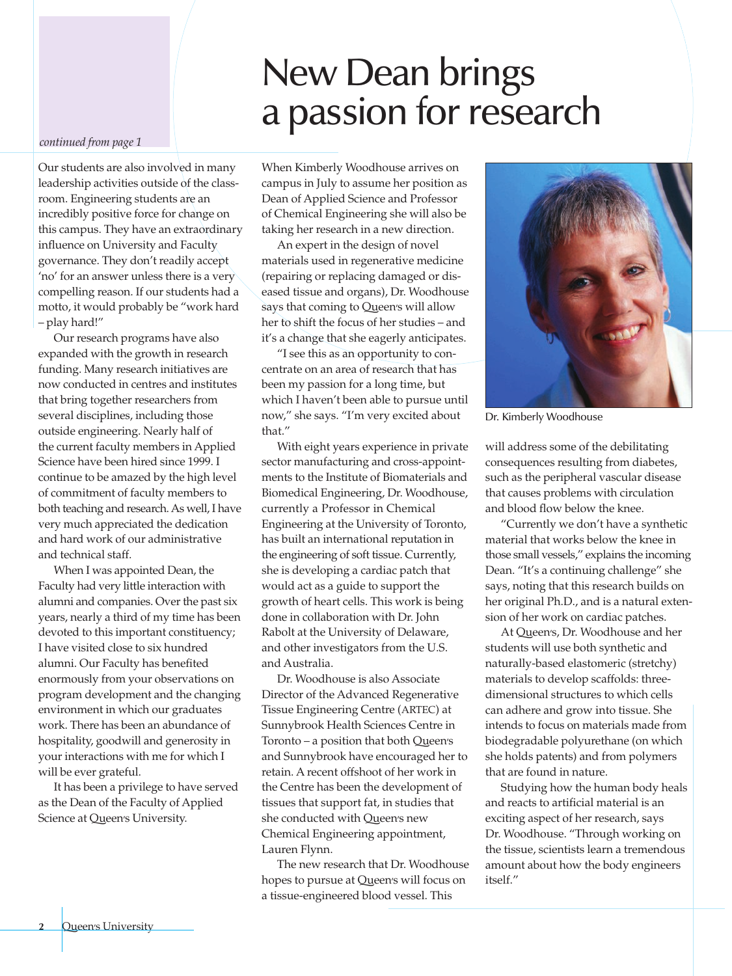#### New Dean brings a passion for research

#### *continued from page 1*

Our students are also involved in many leadership activities outside of the classroom. Engineering students are an incredibly positive force for change on this campus. They have an extraordinary influence on University and Faculty governance. They don't readily accept 'no' for an answer unless there is a very compelling reason. If our students had a motto, it would probably be "work hard – play hard!"

Our research programs have also expanded with the growth in research funding. Many research initiatives are now conducted in centres and institutes that bring together researchers from several disciplines, including those outside engineering. Nearly half of the current faculty members in Applied Science have been hired since 1999. I continue to be amazed by the high level of commitment of faculty members to both teaching and research.As well, I have very much appreciated the dedication and hard work of our administrative and technical staff.

When I was appointed Dean, the Faculty had very little interaction with alumni and companies. Over the past six years, nearly a third of my time has been devoted to this important constituency; I have visited close to six hundred alumni. Our Faculty has benefited enormously from your observations on program development and the changing environment in which our graduates work. There has been an abundance of hospitality, goodwill and generosity in your interactions with me for which I will be ever grateful.

It has been a privilege to have served as the Dean of the Faculty of Applied Science at Queen's University.

When Kimberly Woodhouse arrives on campus in July to assume her position as Dean of Applied Science and Professor of Chemical Engineering she will also be taking her research in a new direction.

An expert in the design of novel materials used in regenerative medicine (repairing or replacing damaged or diseased tissue and organs), Dr. Woodhouse says that coming to Queen's will allow her to shift the focus of her studies – and it's a change that she eagerly anticipates.

"I see this as an opportunity to concentrate on an area of research that has been my passion for a long time, but which I haven't been able to pursue until now," she says. "I'm very excited about that."

With eight years experience in private sector manufacturing and cross-appointments to the Institute of Biomaterials and Biomedical Engineering, Dr. Woodhouse, currently a Professor in Chemical Engineering at the University of Toronto, has built an international reputation in the engineering of soft tissue. Currently, she is developing a cardiac patch that would act as a guide to support the growth of heart cells. This work is being done in collaboration with Dr. John Rabolt at the University of Delaware, and other investigators from the U.S. and Australia.

Dr. Woodhouse is also Associate Director of the Advanced Regenerative Tissue Engineering Centre (ARTEC) at Sunnybrook Health Sciences Centre in Toronto – a position that both Queen's and Sunnybrook have encouraged her to retain. A recent offshoot of her work in the Centre has been the development of tissues that support fat, in studies that she conducted with Queen's new Chemical Engineering appointment, Lauren Flynn.

The new research that Dr. Woodhouse hopes to pursue at Queen's will focus on a tissue-engineered blood vessel. This



Dr. Kimberly Woodhouse

will address some of the debilitating consequences resulting from diabetes, such as the peripheral vascular disease that causes problems with circulation and blood flow below the knee.

"Currently we don't have a synthetic material that works below the knee in those small vessels," explains the incoming Dean. "It's a continuing challenge" she says, noting that this research builds on her original Ph.D., and is a natural extension of her work on cardiac patches.

At Queen's, Dr. Woodhouse and her students will use both synthetic and naturally-based elastomeric (stretchy) materials to develop scaffolds: threedimensional structures to which cells can adhere and grow into tissue. She intends to focus on materials made from biodegradable polyurethane (on which she holds patents) and from polymers that are found in nature.

Studying how the human body heals and reacts to artificial material is an exciting aspect of her research, says Dr. Woodhouse. "Through working on the tissue, scientists learn a tremendous amount about how the body engineers itself."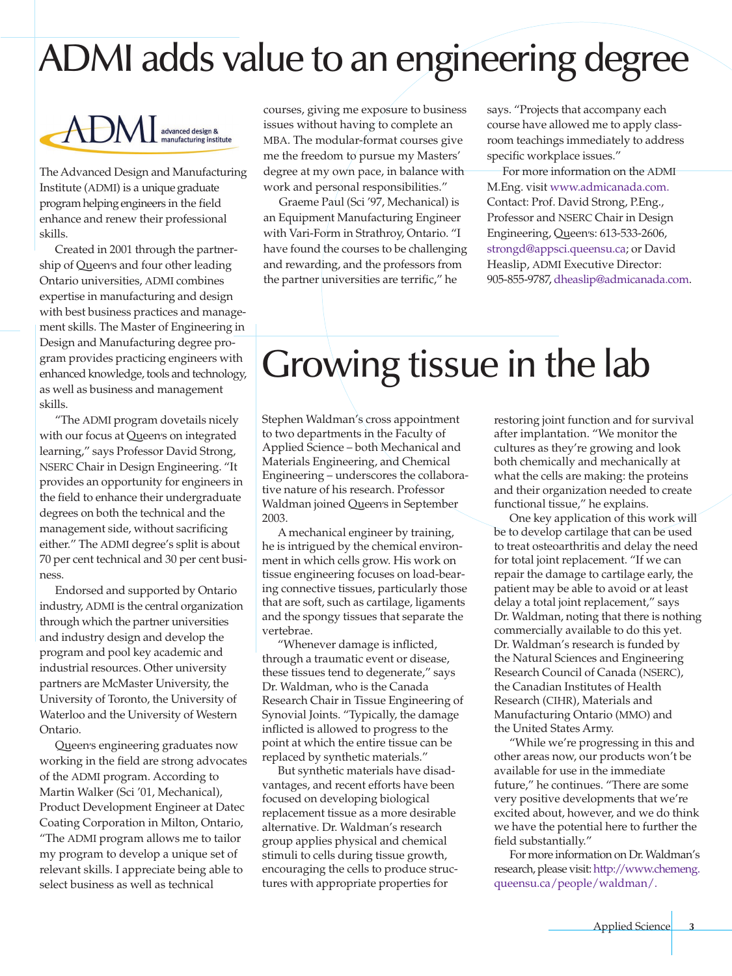# ADMI adds value to an engineering degree



The Advanced Design and Manufacturing Institute (ADMI) is a unique graduate programhelping engineers in the field enhance and renew their professional skills.

Created in 2001 through the partnership of Queen's and four other leading Ontario universities, ADMI combines expertise in manufacturing and design with best business practices and management skills. The Master of Engineering in Design and Manufacturing degree program provides practicing engineers with enhanced knowledge, tools and technology, as well as business and management skills.

"The ADMI program dovetails nicely with our focus at Queen's on integrated learning," says Professor David Strong, NSERC Chair in Design Engineering. "It provides an opportunity for engineers in the field to enhance their undergraduate degrees on both the technical and the management side, without sacrificing either." The ADMI degree's split is about 70 per cent technical and 30 per cent business.

Endorsed and supported by Ontario industry, ADMI is the central organization through which the partner universities and industry design and develop the program and pool key academic and industrial resources. Other university partners are McMaster University, the University of Toronto, the University of Waterloo and the University of Western Ontario.

Queen's engineering graduates now working in the field are strong advocates of the ADMI program. According to Martin Walker (Sci '01, Mechanical), Product Development Engineer at Datec Coating Corporation in Milton, Ontario, "The ADMI program allows me to tailor my program to develop a unique set of relevant skills. I appreciate being able to select business as well as technical

courses, giving me exposure to business issues without having to complete an MBA. The modular-format courses give me the freedom to pursue my Masters' degree at my own pace, in balance with work and personal responsibilities."

Graeme Paul (Sci '97, Mechanical) is an Equipment Manufacturing Engineer with Vari-Form in Strathroy, Ontario. "I have found the courses to be challenging and rewarding, and the professors from the partner universities are terrific," he

says. "Projects that accompany each course have allowed me to apply classroom teachings immediately to address specific workplace issues."

For more information on the ADMI M.Eng. visit www.admicanada.com. Contact: Prof. David Strong, P.Eng., Professor and NSERC Chair in Design Engineering, Queen's: 613-533-2606, strongd@appsci.queensu.ca; or David Heaslip, ADMI Executive Director: 905-855-9787, dheaslip@admicanada.com.

# Growing tissue in the lab

Stephen Waldman's cross appointment to two departments in the Faculty of Applied Science – both Mechanical and Materials Engineering, and Chemical Engineering – underscores the collaborative nature of his research. Professor Waldman joined Queen's in September 2003.

A mechanical engineer by training, he is intrigued by the chemical environment in which cells grow. His work on tissue engineering focuses on load-bearing connective tissues, particularly those that are soft, such as cartilage, ligaments and the spongy tissues that separate the vertebrae.

"Whenever damage is inflicted, through a traumatic event or disease, these tissues tend to degenerate," says Dr. Waldman, who is the Canada Research Chair in Tissue Engineering of Synovial Joints. "Typically, the damage inflicted is allowed to progress to the point at which the entire tissue can be replaced by synthetic materials."

But synthetic materials have disadvantages, and recent efforts have been focused on developing biological replacement tissue as a more desirable alternative. Dr. Waldman's research group applies physical and chemical stimuli to cells during tissue growth, encouraging the cells to produce structures with appropriate properties for

restoring joint function and for survival after implantation. "We monitor the cultures as they're growing and look both chemically and mechanically at what the cells are making: the proteins and their organization needed to create functional tissue," he explains.

One key application of this work will be to develop cartilage that can be used to treat osteoarthritis and delay the need for total joint replacement. "If we can repair the damage to cartilage early, the patient may be able to avoid or at least delay a total joint replacement," says Dr. Waldman, noting that there is nothing commercially available to do this yet. Dr. Waldman's research is funded by the Natural Sciences and Engineering Research Council of Canada (NSERC), the Canadian Institutes of Health Research (CIHR), Materials and Manufacturing Ontario (MMO) and the United States Army.

"While we're progressing in this and other areas now, our products won't be available for use in the immediate future," he continues. "There are some very positive developments that we're excited about, however, and we do think we have the potential here to further the field substantially."

For more information on Dr.Waldman's research, please visit: http://www.chemeng. queensu.ca/people/waldman/.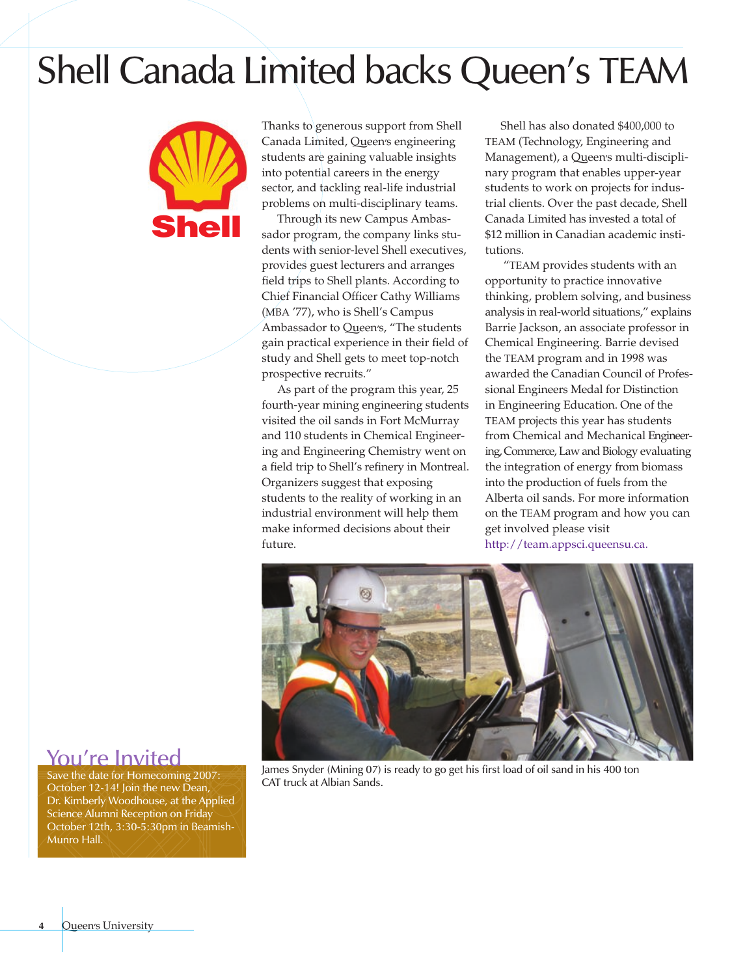#### Shell Canada Limited backs Queen's TEAM



Thanks to generous support from Shell Canada Limited, Queen's engineering students are gaining valuable insights into potential careers in the energy sector, and tackling real-life industrial problems on multi-disciplinary teams.

Through its new Campus Ambassador program, the company links students with senior-level Shell executives, provides guest lecturers and arranges field trips to Shell plants. According to Chief Financial Officer Cathy Williams (MBA '77), who is Shell's Campus Ambassador to Queen's, "The students gain practical experience in their field of study and Shell gets to meet top-notch prospective recruits."

As part of the program this year, 25 fourth-year mining engineering students visited the oil sands in Fort McMurray and 110 students in Chemical Engineering and Engineering Chemistry went on a field trip to Shell's refinery in Montreal. Organizers suggest that exposing students to the reality of working in an industrial environment will help them make informed decisions about their future.

Shell has also donated \$400,000 to TEAM (Technology, Engineering and Management), a Queen's multi-disciplinary program that enables upper-year students to work on projects for industrial clients. Over the past decade, Shell Canada Limited has invested a total of \$12 million in Canadian academic institutions.

"TEAM provides students with an opportunity to practice innovative thinking, problem solving, and business analysis in real-world situations," explains Barrie Jackson, an associate professor in Chemical Engineering. Barrie devised the TEAM program and in 1998 was awarded the Canadian Council of Professional Engineers Medal for Distinction in Engineering Education. One of the TEAM projects this year has students from Chemical and Mechanical Engineering, Commerce, Law and Biology evaluating the integration of energy from biomass into the production of fuels from the Alberta oil sands. For more information on the TEAM program and how you can get involved please visit http://team.appsci.queensu.ca.



James Snyder (Mining 07) is ready to go get his first load of oil sand in his 400 ton CAT truck at Albian Sands.

#### You're Invited

Save the date for Homecoming 2007: October 12-14! Join the new Dean, Dr. Kimberly Woodhouse, at the Applied Science Alumni Reception on Friday October 12th, 3:30-5:30pm in Beamish-Munro Hall.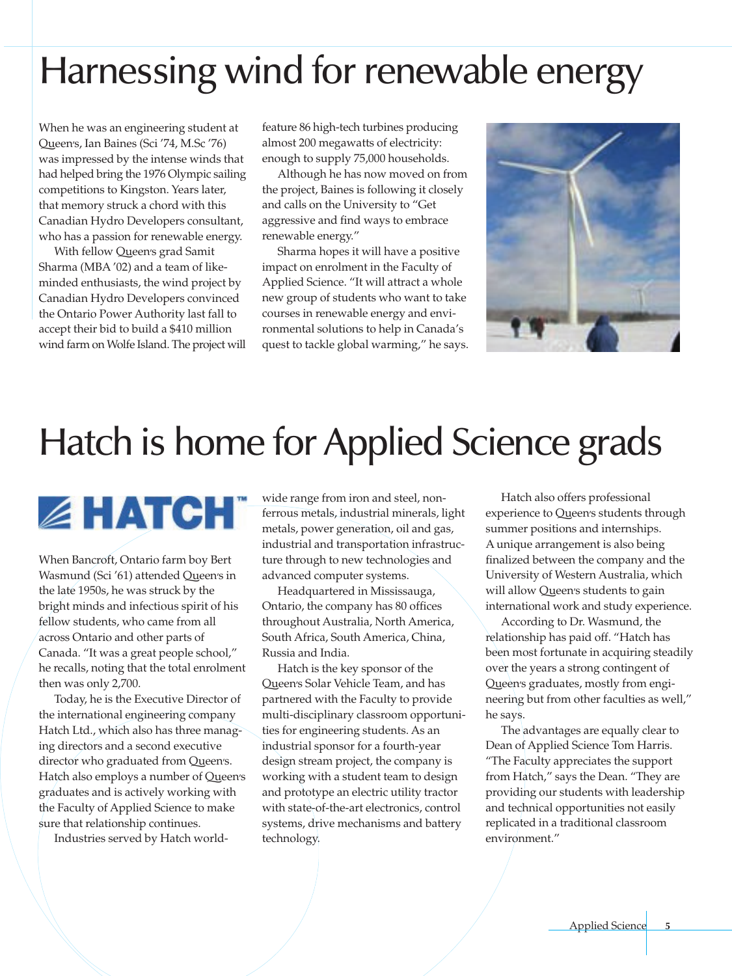## Harnessing wind for renewable energy

When he was an engineering student at Queen's, Ian Baines (Sci '74, M.Sc '76) was impressed by the intense winds that had helped bring the 1976 Olympic sailing competitions to Kingston. Years later, that memory struck a chord with this Canadian Hydro Developers consultant, who has a passion for renewable energy.

With fellow Queen's grad Samit Sharma (MBA '02) and a team of likeminded enthusiasts, the wind project by Canadian Hydro Developers convinced the Ontario Power Authority last fall to accept their bid to build a \$410 million wind farm on Wolfe Island. The project will feature 86 high-tech turbines producing almost 200 megawatts of electricity: enough to supply 75,000 households.

Although he has now moved on from the project, Baines is following it closely and calls on the University to "Get aggressive and find ways to embrace renewable energy."

Sharma hopes it will have a positive impact on enrolment in the Faculty of Applied Science. "It will attract a whole new group of students who want to take courses in renewable energy and environmental solutions to help in Canada's quest to tackle global warming," he says.



# Hatch is home for Applied Science grads

**EHATCH** 

When Bancroft, Ontario farm boy Bert Wasmund (Sci '61) attended Queen's in the late 1950s, he was struck by the bright minds and infectious spirit of his fellow students, who came from all across Ontario and other parts of Canada. "It was a great people school," he recalls, noting that the total enrolment then was only 2,700.

Today, he is the Executive Director of the international engineering company Hatch Ltd., which also has three managing directors and a second executive director who graduated from Queen's. Hatch also employs a number of Queen's graduates and is actively working with the Faculty of Applied Science to make sure that relationship continues.

Industries served by Hatch world-

wide range from iron and steel, nonferrous metals, industrial minerals, light metals, power generation, oil and gas, industrial and transportation infrastructure through to new technologies and advanced computer systems.

Headquartered in Mississauga, Ontario, the company has 80 offices throughout Australia, North America, South Africa, South America, China, Russia and India.

Hatch is the key sponsor of the Queen's Solar Vehicle Team, and has partnered with the Faculty to provide multi-disciplinary classroom opportunities for engineering students. As an industrial sponsor for a fourth-year design stream project, the company is working with a student team to design and prototype an electric utility tractor with state-of-the-art electronics, control systems, drive mechanisms and battery technology.

Hatch also offers professional experience to Queen's students through summer positions and internships. A unique arrangement is also being finalized between the company and the University of Western Australia, which will allow Queen's students to gain international work and study experience.

According to Dr. Wasmund, the relationship has paid off. "Hatch has been most fortunate in acquiring steadily over the years a strong contingent of Queen's graduates, mostly from engineering but from other faculties as well," he says.

The advantages are equally clear to Dean of Applied Science Tom Harris. "The Faculty appreciates the support from Hatch," says the Dean. "They are providing our students with leadership and technical opportunities not easily replicated in a traditional classroom environment."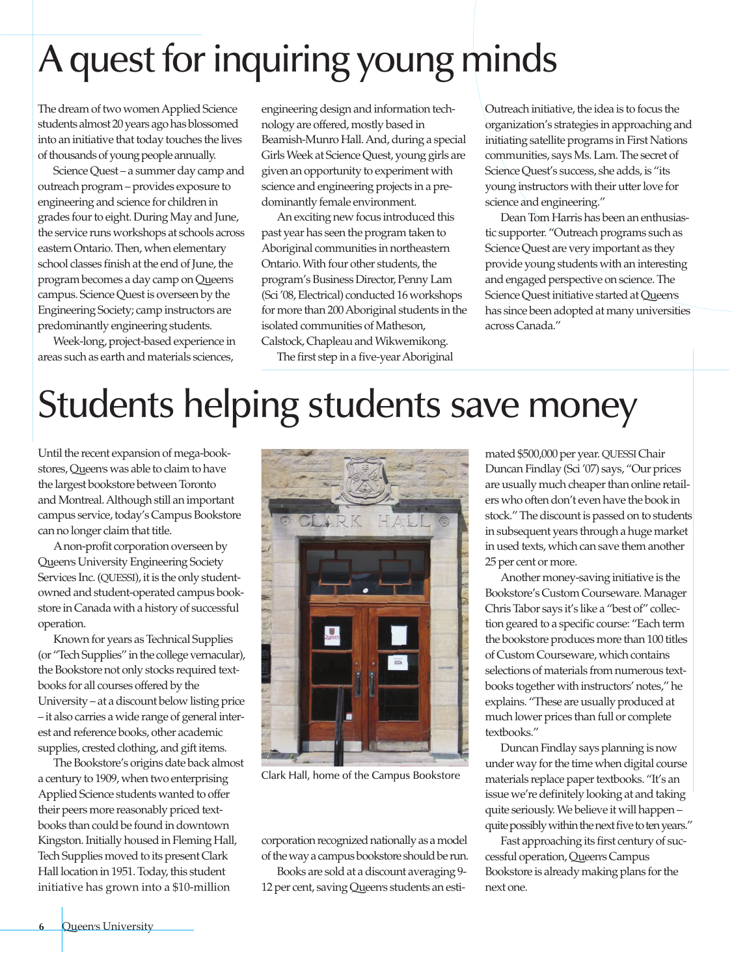# A quest for inquiring young minds

The dream of two women Applied Science students almost 20 years ago has blossomed into an initiative that today touches the lives of thousands of young people annually.

Science Quest – a summer day camp and outreach program – provides exposure to engineering andscience for children in grades four to eight. During May and June, the service runs workshops at schools across easternOntario.Then, when elementary school classes finish at the end of June, the program becomes aday campon Queen's campus. ScienceQuestis overseen by the Engineering Society; campinstructors are predominantly engineering students.

Week-long, project-based experience in areas such as earth and materials sciences,

engineering design and information technology are offered, mostly basedin Beamish-Munro Hall. And, during a special GirlsWeek at ScienceQuest, young girls are given an opportunity to experiment with science and engineering projects in a predominantly female environment.

An exciting new focus introduced this past year has seen the program taken to Aboriginal communities in northeastern Ontario. With four other students, the program's Business Director, Penny Lam (Sci '08, Electrical) conducted 16 workshops for more than 200Aboriginal students in the isolated communities of Matheson, Calstock, Chapleau and Wikwemikong.

The first step in a five-year Aboriginal

Outreach initiative, the idea is to focus the organization's strategies in approaching and initiating satellite programs in First Nations communities, says Ms. Lam. The secret of ScienceQuest's success, she adds, is "its young instructors with their utter love for science and engineering."

DeanTom Harris has been an enthusiastic supporter. "Outreach programs such as Science Quest are very important as they provide young students with an interesting and engaged perspective on science. The Science Quest initiative started at Queen's has since been adopted at many universities across Canada."

# Students helping students save money

Until the recent expansion of mega-bookstores, Queen's was able to claim to have the largest bookstore between Toronto and Montreal. Although still an important campus service, today's Campus Bookstore can no longer claim that title.

Anon-profit corporation overseen by Queen's University Engineering Society Services Inc. (QUESSI), it is the only studentowned and student-operated campus bookstore in Canada with a history of successful operation.

Known for years asTechnical Supplies (or "Tech Supplies" in the college vernacular), the Bookstore not only stocks required textbooks for all courses offered by the University – at a discount below listing price – it also carries a wide range of general interest and reference books, other academic supplies, crested clothing, and gift items.

The Bookstore's origins date back almost a century to 1909, when two enterprising Applied Science students wanted to offer their peers more reasonably priced textbooks than could be found in downtown Kingston. Initially housed in Fleming Hall, Tech Supplies moved to its present Clark Hall location in 1951. Today, this student initiative has grown into a \$10-million



Clark Hall, home of the Campus Bookstore

corporation recognized nationally as a model of the way a campus bookstore should be run.

Books are sold at a discount averaging 9-12 per cent, saving Queen's students an estimated \$500,000 per year. QUESSI Chair Duncan Findlay (Sci '07) says, "Our prices are usually much cheaper than online retailers who often don't even have the book in stock." The discount is passed on to students in subsequent years through a huge market in used texts, which can save them another 25 per cent or more.

Another money-saving initiative is the Bookstore's Custom Courseware.Manager ChrisTabor says it's like a "best of" collection geared to a specific course: "Each term the bookstore produces more than 100 titles of Custom Courseware, which contains selections of materials from numerous textbooks together with instructors' notes," he explains. "These are usually produced at much lower prices than full or complete textbooks."

Duncan Findlay says planning is now under way for the time when digital course materials replace paper textbooks. "It's an issue we're definitely looking at and taking quite seriously.We believe it will happen – quite possibly within the next five to ten years."

Fast approaching its first century of successful operation, Queen's Campus Bookstore is already making plans for the next one.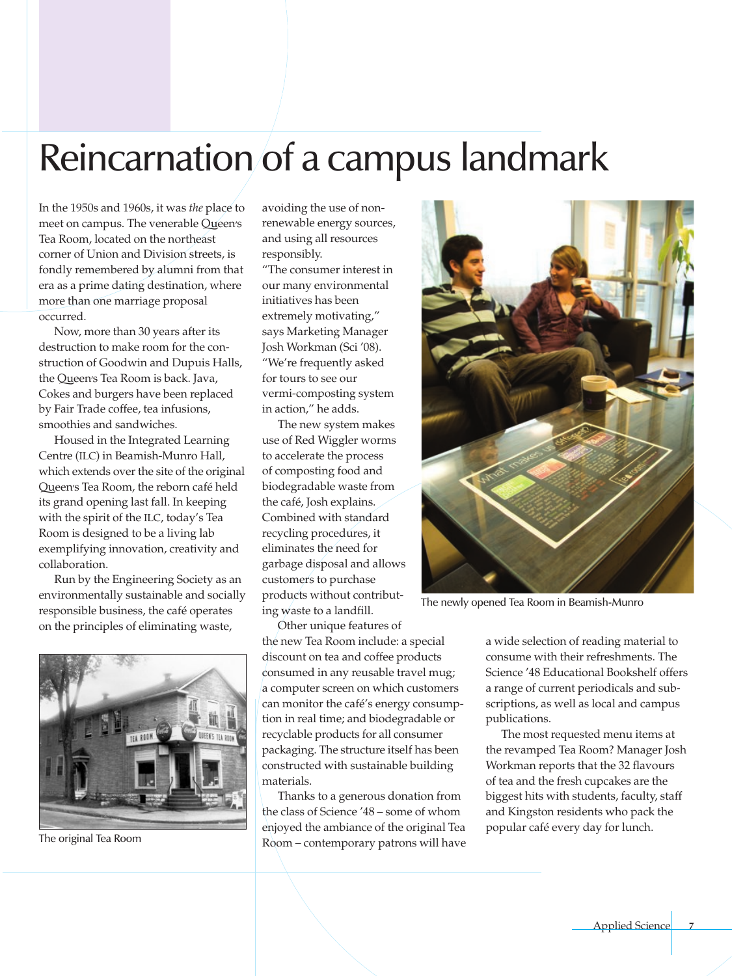### Reincarnation of a campus landmark

In the 1950s and 1960s, it was *the* place to meet on campus. The venerable Queen's Tea Room, located on the northeast corner of Union and Division streets, is fondly remembered by alumni from that era as a prime dating destination, where more than one marriage proposal occurred.

Now, more than 30 years after its destruction to make room for the construction of Goodwin and Dupuis Halls, the Queen's Tea Room is back. Java, Cokes and burgers have been replaced by Fair Trade coffee, tea infusions, smoothies and sandwiches.

Housed in the Integrated Learning Centre (ILC) in Beamish-Munro Hall, which extends over the site of the original Queen's Tea Room, the reborn café held its grand opening last fall. In keeping with the spirit of the ILC, today's Tea Room is designed to be a living lab exemplifying innovation, creativity and collaboration.

Run by the Engineering Society as an environmentally sustainable and socially responsible business, the café operates on the principles of eliminating waste,



The original Tea Room

avoiding the use of nonrenewable energy sources, and using all resources responsibly.

"The consumer interest in our many environmental initiatives has been extremely motivating," says Marketing Manager Josh Workman (Sci '08). "We're frequently asked for tours to see our vermi-composting system in action," he adds.

The new system makes use of Red Wiggler worms to accelerate the process of composting food and biodegradable waste from the café, Josh explains. Combined with standard recycling procedures, it eliminates the need for garbage disposal and allows customers to purchase products without contributing waste to a landfill.

Other unique features of the new Tea Room include: a special discount on tea and coffee products consumed in any reusable travel mug; a computer screen on which customers can monitor the café's energy consumption in real time; and biodegradable or recyclable products for all consumer packaging. The structure itself has been constructed with sustainable building materials.

Thanks to a generous donation from the class of Science '48 – some of whom enjoyed the ambiance of the original Tea Room – contemporary patrons will have



The newly opened Tea Room in Beamish-Munro

a wide selection of reading material to consume with their refreshments. The Science '48 Educational Bookshelf offers a range of current periodicals and subscriptions, as well as local and campus publications.

The most requested menu items at the revamped Tea Room? Manager Josh Workman reports that the 32 flavours of tea and the fresh cupcakes are the biggest hits with students, faculty, staff and Kingston residents who pack the popular café every day for lunch.